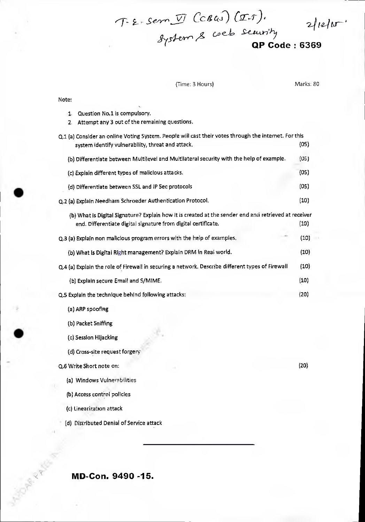$2/12/15$ 

**QP Code: 6369** 

### (Time: 3 Hours) Marks: 80

*sysi\_ern es co e\_.•* 

*son, !\_71- Cc 4.0 (2-3-)* 

| Question No.1 is compulsory.<br>1.                                                                    |      |  |
|-------------------------------------------------------------------------------------------------------|------|--|
| Attempt any 3 out of the remaining questions.<br>2.                                                   |      |  |
| Q.1 (a) Consider an online Voting System. People will cast their votes through the internet. For this |      |  |
| system identify vulnerability, threat and attack.                                                     | (05) |  |
| (b) Differentiate between Multilevel and Multilateral security with the help of example.              | (05) |  |
| (c) Explain different types of malicious attacks.                                                     | (05) |  |
| (d) Differentiate between SSL and IP Sec protocols                                                    | (05) |  |
| Q.2 (a) Explain Needham Schroeder Authentication Protocol.                                            | (10) |  |
| (b) What is Digital Signature? Explain how it is created at the sender end and retrieved at receiver  |      |  |
| end. Differentiate digital signature from digital certificate.                                        | (10) |  |
| Q.3 (a) Explain non malicious program errors with the help of examples.                               | (10) |  |
| (b) What is Digital Right management? Explain DRM in Real world.                                      | (10) |  |
| Q.4 (a) Explain the role of Firewall in securing a network. Describe different types of Firewall      | (10) |  |
| (b) Explain secure Email and S/MIME.                                                                  | (10) |  |
| Q.5 Explain the technique behind following attacks:                                                   | (20) |  |
| (a) ARP spoofing                                                                                      |      |  |
| (b) Packet Sniffing                                                                                   |      |  |
| (c) Session Hijacking                                                                                 |      |  |
| (d) Cross-site request forgery                                                                        |      |  |
| Q.6 Write Short note on:                                                                              | (20) |  |
| (a) Windows Vulnerabilities                                                                           |      |  |
| (b) Access control policies                                                                           |      |  |
| (c) Linearization attack                                                                              |      |  |
| (d) Distributed Denial of Service attack                                                              |      |  |
|                                                                                                       |      |  |

**MD-Con. 9490 -15.** 

**PARK PRO** 

Note: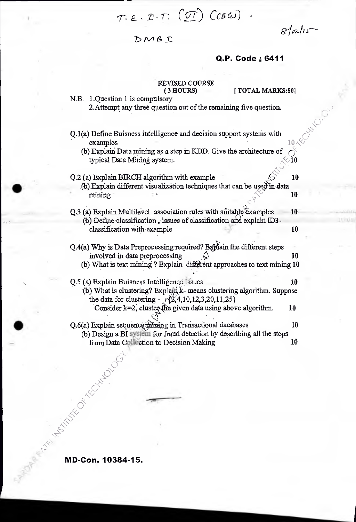$T \cdot \varepsilon \cdot T \cdot T \cdot (T)$  ( $c$ BW)

*ein-1/* 

DMBI

## **Q.P. Code :6411**

## REVISED COURSE

(3 HOURS) [ TOTAL MARKS:80]

- N.B. 1.Question 1 is compulsory 2.Attempt any three question out of the remaining five question.
- Q.1(a) Define Buisness intelligence and decision support systems with examples  $10<sup>4</sup>$

(b) Explain Data mining as a step in KDD. Give the architecture of typical Data Mining system. typical Data Mining system.

## $Q.2$  (a) Explain BIRCH algorithm with example  $\sim$  10

- (b) Explain different visualization techniques that can be used in data mining  $\sqrt{2}$  10
- Q.3 (a) Explain Multilevel association rules with suitable  $\text{Examples}$  = 10 (b) Define classification, issues of classification and explain  $ID3$ . classification with example 10
- Q.4(a) Why is Data Preprocessing required? Explain the different steps involved in data preprocessing  $\sqrt{x}$  10 (b) What is text mining ? Explain different approaches to text mining  $10$
- Q.5 (a) Explain Buisness Intelligence Issues \_ 10 (b) What is clustering? Explain k- means clustering algorithm. Suppose the data for clustering -  $\{\sqrt{2}, 4, 10, 12, 3, 20, 11, 25\}$ Consider k=2, cluster the given data using above algorithm.  $10$  $Q.6(a)$  Explain sequence mining in Transactional databases 10

(b) Design a BI system for fraud detection by describing all the steps from Data Collection to Decision Making 10

**MD-Con. 10384-15.**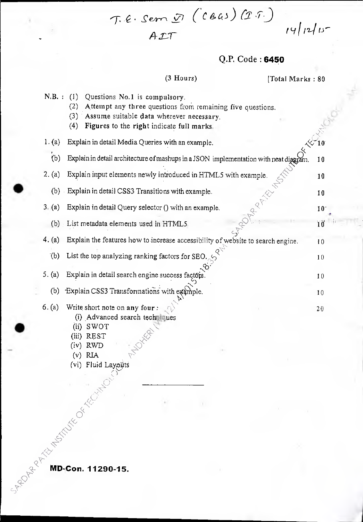$T.E. SemD(CBAS)(II).$ *A- I-7-* 

## Q.P. Code : 6450

(3 Hours) [Total Marks : 80]

 $14/12/15$ 

|        | Questions No.1 is compulsory.<br>(1)<br>(2)<br>Attempt any three questions from remaining five questions.<br>(3)<br>Assume suitable data wherever necessary.<br>Figures to the right indicate full marks.<br>(4) |                                                                                                                                                                                                                                                                                                                                                                                                                                                                                                            |
|--------|------------------------------------------------------------------------------------------------------------------------------------------------------------------------------------------------------------------|------------------------------------------------------------------------------------------------------------------------------------------------------------------------------------------------------------------------------------------------------------------------------------------------------------------------------------------------------------------------------------------------------------------------------------------------------------------------------------------------------------|
| 1. (a) | Explain in detail Media Queries with an example.                                                                                                                                                                 |                                                                                                                                                                                                                                                                                                                                                                                                                                                                                                            |
| (b)    |                                                                                                                                                                                                                  | 10                                                                                                                                                                                                                                                                                                                                                                                                                                                                                                         |
| 2. (a) |                                                                                                                                                                                                                  | 10                                                                                                                                                                                                                                                                                                                                                                                                                                                                                                         |
| (b)    |                                                                                                                                                                                                                  | 10                                                                                                                                                                                                                                                                                                                                                                                                                                                                                                         |
| 3. (a) | Explain in detail Query selector () with an example.                                                                                                                                                             | $10-$                                                                                                                                                                                                                                                                                                                                                                                                                                                                                                      |
| (b)    |                                                                                                                                                                                                                  | 10                                                                                                                                                                                                                                                                                                                                                                                                                                                                                                         |
| 4. (a) | Explain the features how to increase accessibility of website to search engine.                                                                                                                                  | 10                                                                                                                                                                                                                                                                                                                                                                                                                                                                                                         |
| (b)    | List the top analyzing ranking factors for SEO.                                                                                                                                                                  | 10                                                                                                                                                                                                                                                                                                                                                                                                                                                                                                         |
| 5. (a) | Explain in detail search engine success factors.                                                                                                                                                                 | 10                                                                                                                                                                                                                                                                                                                                                                                                                                                                                                         |
| (b)    | Explain CSS3 Transformations with example.                                                                                                                                                                       | 10                                                                                                                                                                                                                                                                                                                                                                                                                                                                                                         |
| 6. (a) | Write short note on any four :<br>(i) Advanced search techniques<br>$(ii)$ SWOT<br>REST<br>(iii)                                                                                                                 | 20                                                                                                                                                                                                                                                                                                                                                                                                                                                                                                         |
|        |                                                                                                                                                                                                                  |                                                                                                                                                                                                                                                                                                                                                                                                                                                                                                            |
|        |                                                                                                                                                                                                                  | $N.B.$ :<br>Explain in detail architecture of mashups in a JSON implementation with neat diagram.<br>Explain input elements newly introduced in HTML5 with example.<br>Explain in detail CSS3 Transitions with example.<br>List metadata elements used in HTML5.<br>RES.<br>, RWD<br>(v) RIA<br>(vi) Fluid Laysur<br>(x) Reserved to the Contract of Contract of Contract of Contract of Contract of Contract of Contract of Contract of Contract of Contract of Contract of Contract of Contract of Contr |

•

 $\mathbb{P}_{q}$ 

`-"D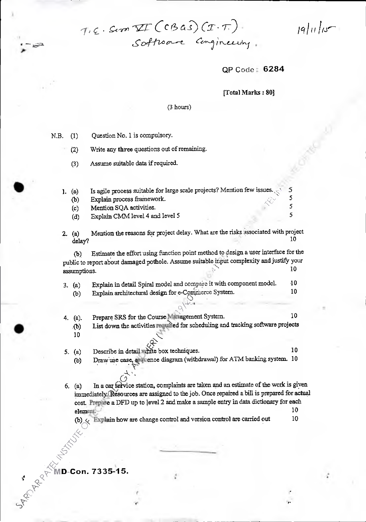T.E. Sim II (CBAS) (I.T.).<br>Software Congineering.

**QP** Code **6284** 

 $\lceil a \rceil$   $\lceil a \rceil$ 

5 5  $\overline{\mathbf{S}}$ 

[Total Marks: 80]

#### (3 hours)

N.B. (1) Question No. 1 is compulsory.

• (2) Write any three questions out of remaining.

(3) Assume suitable data if required.

1. (a) Is agile process suitable for large scale projects? Mention few issues.

(b) Explain process framework.

(c) Mention SQA activities.

(d) Explain CMM level 4 and level 5  $5\frac{1}{2}$ 

2. (a) Mention the reasons for project delay. What are the risks associated with project delay? 10 delay? 10

(b) Estimate the effort using function point method to design a user interface for the public to report about damaged pothole. Assume suitable input complexity and justify your assumptions. 10

| 3. (a) | Explain in detail Spiral model and compare it with component model. | -10- |
|--------|---------------------------------------------------------------------|------|
| (b)    | Explain architectural design for e-Commerce System.                 | 10.  |

- 4. (a). Prepare SRS for the Course Management System. 10
	- (b) List down the activities required for scheduling and tracking software projects 10

5. (a) Describe in detail white box techniques. 10

,

(b) Draw use case,  $\sum_{k=1}^{\infty}$  diagram (withdrawal) for ATM banking system. 10

6. (a) In a car service station, complaints are taken and an estimate of the work is given immediately (Resources are assigned to the job. Once repaired a bill is prepared for actual cost. Prepare a DFD up to level 2 and make a sample entry in data dictionary for each element. The set of  $\sim$  10

(b)  $\leftarrow$  Explain how are change control and version control are carried out 10

A.% **D-Con. 7335-15.** 

`')  $\sum_{i=1}^n$ 

**S** 

 $\mathbf{r}$ 

•